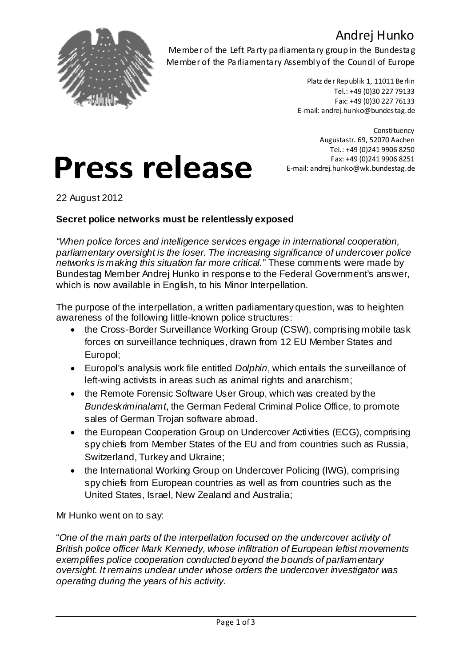### Andrej Hunko



Member of the Left Party parliamentary group in the Bundestag Member of the Parliamentary Assembly of the Council of Europe

> Platz der Republik 1, 11011 Berlin Tel.: +49 (0)30 227 79133 Fax: +49 (0)30 227 76133 E-mail: andrej.hunko@bundestag.de

**Constituency** Augustastr. 69, 52070 Aachen Tel.: +49 (0)241 9906 8250 Fax: +49 (0)241 9906 8251 E-mail: andrej.hunko@wk.bundestag.de

22 August 2012

#### **Secret police networks must be relentlessly exposed**

**Press release** 

*"When police forces and intelligence services engage in international cooperation, parliamentary oversight is the loser. The increasing significance of undercover police networks is making this situation far more critical.*" These comments were made by Bundestag Member Andrej Hunko in response to the Federal Government's answer, which is now available in English, to his Minor Interpellation.

The purpose of the interpellation, a written parliamentary question, was to heighten awareness of the following little-known police structures:

- the Cross-Border Surveillance Working Group (CSW), comprising mobile task forces on surveillance techniques, drawn from 12 EU Member States and Europol;
- Europol's analysis work file entitled *Dolphin*, which entails the surveillance of left-wing activists in areas such as animal rights and anarchism;
- the Remote Forensic Software User Group, which was created by the *Bundeskriminalamt*, the German Federal Criminal Police Office, to promote sales of German Trojan software abroad.
- the European Cooperation Group on Undercover Activities (ECG), comprising spy chiefs from Member States of the EU and from countries such as Russia, Switzerland, Turkey and Ukraine;
- the International Working Group on Undercover Policing (IWG), comprising spy chiefs from European countries as well as from countries such as the United States, Israel, New Zealand and Australia;

Mr Hunko went on to say:

"*One of the main parts of the interpellation focused on the undercover activity of British police officer Mark Kennedy, whose infiltration of European leftist movements exemplifies police cooperation conducted beyond the bounds of parliamentary oversight. It remains unclear under whose orders the undercover investigator was operating during the years of his activity.*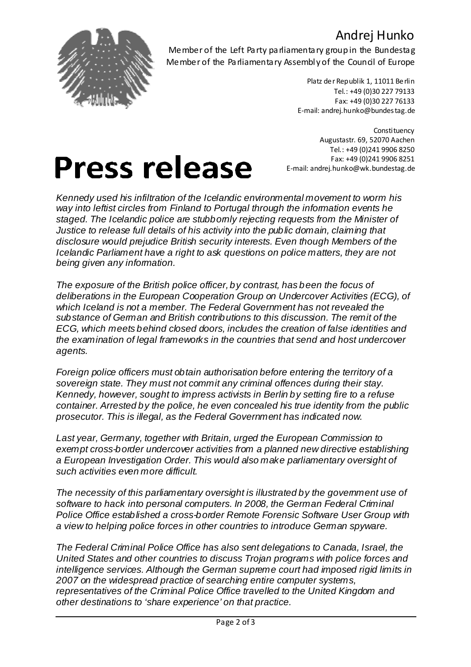### Andrej Hunko



Member of the Left Party parliamentary group in the Bundestag Member of the Parliamentary Assembly of the Council of Europe

> Platz der Republik 1, 11011 Berlin Tel.: +49 (0)30 227 79133 Fax: +49 (0)30 227 76133 E-mail: andrej.hunko@bundestag.de

**Constituency** Augustastr. 69, 52070 Aachen Tel.: +49 (0)241 9906 8250 Fax: +49 (0)241 9906 8251 E-mail: andrej.hunko@wk.bundestag.de

# **Press release**

*Kennedy used his infiltration of the Icelandic environmental movement to worm his way into leftist circles from Finland to Portugal through the information events he staged. The Icelandic police are stubbornly rejecting requests from the Minister of Justice to release full details of his activity into the public domain, claiming that disclosure would prejudice British security interests. Even though Members of the Icelandic Parliament have a right to ask questions on police matters, they are not being given any information.*

*The exposure of the British police officer,by contrast, has been the focus of deliberations in the European Cooperation Group on Undercover Activities (ECG), of which Iceland is not a member. The Federal Government has not revealed the substance of German and British contributions to this discussion. The remit of the ECG, which meets behind closed doors, includes the creation of false identities and the examination of legal frameworks in the countries that send and host undercover agents.*

*Foreign police officers must obtain authorisation before entering the territory of a sovereign state. They must not commit any criminal offences during their stay. Kennedy, however, sought to impress activists in Berlin by setting fire to a refuse container. Arrested by the police, he even concealed his true identity from the public prosecutor. This is illegal, as the Federal Government has indicated now.*

*Last year, Germany, together with Britain, urged the European Commission to exempt cross-border undercover activities from a planned new directive establishing a European Investigation Order. This would also make parliamentary oversight of such activities even more difficult.*

*The necessity of this parliamentary oversight is illustrated by the government use of software to hack into personal computers. In 2008, the German Federal Criminal Police Office established a cross-border Remote Forensic Software User Group with a view to helping police forces in other countries to introduce German spyware.*

*The Federal Criminal Police Office has also sent delegations to Canada, Israel, the United States and other countries to discuss Trojan programs with police forces and intelligence services. Although the German supreme court had imposed rigid limits in 2007 on the widespread practice of searching entire computer systems, representatives of the Criminal Police Office travelled to the United Kingdom and other destinations to 'share experience' on that practice.*